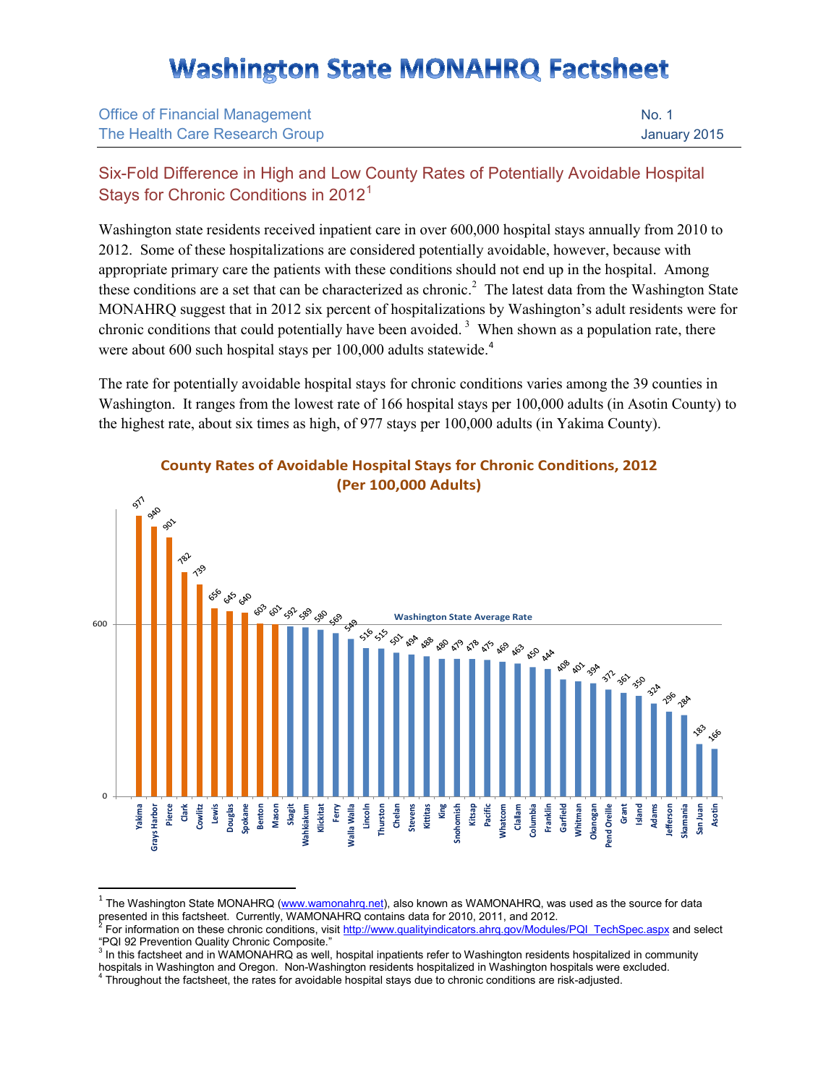## **Washington State MONAHRQ Factsheet**

| <b>Office of Financial Management</b> | No. 1        |
|---------------------------------------|--------------|
| The Health Care Research Group        | January 2015 |

## Six-Fold Difference in High and Low County Rates of Potentially Avoidable Hospital Stays for Chronic Conditions in 20[1](#page-0-0)2<sup>1</sup>

Washington state residents received inpatient care in over 600,000 hospital stays annually from 2010 to 2012. Some of these hospitalizations are considered potentially avoidable, however, because with appropriate primary care the patients with these conditions should not end up in the hospital. Among these conditions are a set that can be characterized as chronic.<sup>[2](#page-0-1)</sup> The latest data from the Washington State MONAHRQ suggest that in 2012 six percent of hospitalizations by Washington's adult residents were for chronic conditions that could potentially have been avoided.<sup>[3](#page-0-2)</sup> When shown as a population rate, there were about 600 such hospital stays per 100,000 adults statewide.<sup>[4](#page-0-3)</sup>

The rate for potentially avoidable hospital stays for chronic conditions varies among the 39 counties in Washington. It ranges from the lowest rate of 166 hospital stays per 100,000 adults (in Asotin County) to the highest rate, about six times as high, of 977 stays per 100,000 adults (in Yakima County).



## **County Rates of Avoidable Hospital Stays for Chronic Conditions, 2012 (Per 100,000 Adults)**

<span id="page-0-0"></span> $1$  The Washington State MONAHRQ [\(www.wamonahrq.net\)](http://www.wamonahrq.net/), also known as WAMONAHRQ, was used as the source for data presented in this factsheet. Currently, WAMONAHRQ contains data for 2010, 2011, and 2012.<br><sup>2</sup> For information on these chronic conditions, visi[t http://www.qualityindicators.ahrq.gov/Modules/PQI\\_TechSpec.aspx](http://www.qualityindicators.ahrq.gov/Modules/PQI_TechSpec.aspx) and select

<span id="page-0-2"></span><sup>3</sup> In this factsheet and in WAMONAHRQ as well, hospital inpatients refer to Washington residents hospitalized in community hospitals in Washington and Oregon. Non-Washington residents hospitalized in Washington hospitals were excluded. 4 Throughout the factsheet, the rates for avoidable hospital stays due to chronic conditions are risk-adjusted.

<span id="page-0-1"></span><sup>&</sup>quot;PQI 92 Prevention Quality Chronic Composite."

<span id="page-0-3"></span>